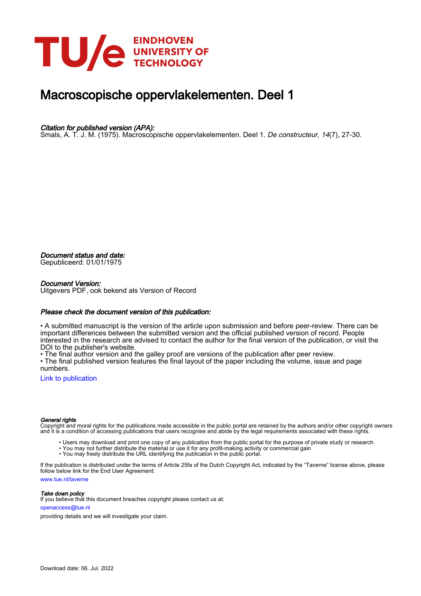

### Macroscopische oppervlakelementen. Deel 1

#### Citation for published version (APA):

Smals, A. T. J. M. (1975). Macroscopische oppervlakelementen. Deel 1. De constructeur, 14(7), 27-30.

Document status and date:

Gepubliceerd: 01/01/1975

#### Document Version:

Uitgevers PDF, ook bekend als Version of Record

#### Please check the document version of this publication:

• A submitted manuscript is the version of the article upon submission and before peer-review. There can be important differences between the submitted version and the official published version of record. People interested in the research are advised to contact the author for the final version of the publication, or visit the DOI to the publisher's website.

• The final author version and the galley proof are versions of the publication after peer review.

• The final published version features the final layout of the paper including the volume, issue and page numbers.

[Link to publication](https://research.tue.nl/nl/publications/1dcc934a-b7c3-4995-a22e-9892b79e3a35)

#### General rights

Copyright and moral rights for the publications made accessible in the public portal are retained by the authors and/or other copyright owners and it is a condition of accessing publications that users recognise and abide by the legal requirements associated with these rights.

- Users may download and print one copy of any publication from the public portal for the purpose of private study or research.
- You may not further distribute the material or use it for any profit-making activity or commercial gain
- You may freely distribute the URL identifying the publication in the public portal.

If the publication is distributed under the terms of Article 25fa of the Dutch Copyright Act, indicated by the "Taverne" license above, please follow below link for the End User Agreement:

www.tue.nl/taverne

**Take down policy**<br>If you believe that this document breaches copyright please contact us at:

openaccess@tue.nl

providing details and we will investigate your claim.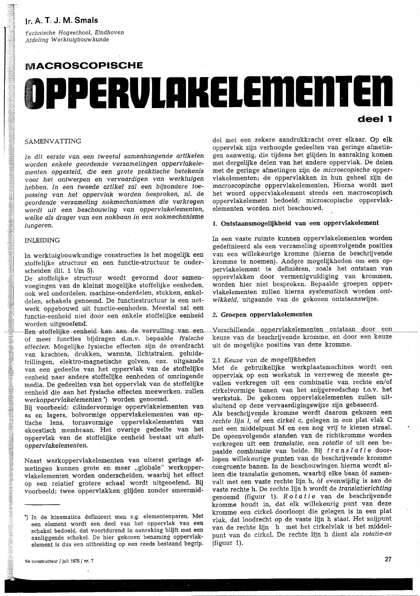### Ir. A. T. J. M. Smals

Technische Hogeschool, Eindhoven Afdeling Werktuigbouwkunde

# **MACROSCOPISCHE** OPPERVLAKELEMENTEN deel 1

#### SAMENVATTING

In dit eerste van een tweetal samenhangende artikelen worden enkele geordende verzamelingen oppervlakelementen opgesteld, die een grote praktische betekenis voor het ontwerpen en vervaardigen van werktuigen hebben. In een tweede artikel zal een bijzondere toepassing van het oppervlak worden besproken, nl. de geordende verzameling nokmechanismen die verkregen wordt uit een beschouwing van oppervlakelementen, welke als drager van een nokbaan in een nokmechanisme fungeren.

#### **INLEIDING**

In werktuigbouwkundige constructies is het mogelijk een stoffelijke structuur en een functie-structuur te onderscheiden (lit. 1  $t/m$  5).

De stoffelijke structuur wordt gevormd door samenvoegingen van de kleinst mogelijke stoffelijke eenheden, ook wel onderdelen, machine-onderdelen, stukken, enkeldelen, schakels genoemd. De functiestructuur is een netwerk opgebouwd uit functie-eenheden. Meestal zal een functie-eenheid niet door een enkele stoffelijke eenheid worden uitgeoefend.

Een stoffelijke eenheid kan aan de vervulling van een of meer functies bijdragen d.m.v. bepaalde fysische effecten. Mogelijke fysische effecten zijn de overdracht van krachten, drukken, warmte, lichtstralen, geluidstrillingen, elektro-magnetische golven, enz. uitgaande van een gedeelte van het oppervlak van de stoffelijke eenheid naar andere stoffelijke eenheden of omringende media. De gedeelten van het oppervlak van de stoffelijke eenheid die aan het fysische effecten meewerken, zullen werkoppervlakelementen") worden genoemd.

Bij voorbeeld: cilindervormige oppervlakelementen van as en lagers, bolvormige oppervlakelementen van optische lens, torusvormige oppervlakelementen van akoestisch membraan. Het overige gedeelte van het oppervlak van de stoffelijke eenheid bestaat uit sluitoppervlakelementen.

Naast werkoppervlakelementen van uiterst geringe afmetingen kunnen grote en meer "globale" werkoppervlakelementen worden onderscheiden, waarbij het effect op een relatief grotere schaal wordt uitgeoefend. Bij voorbeeld: twee oppervlakken glijden zonder smeermid-

del met een zekere aandrukkracht over elkaar. Op elk oppervlak zijn verhoogde gedeelten van geringe afmetingen aanwezig, die tijdens het glijden in aanraking komen met dergelijke delen van het andere oppervlak. De delen met de geringe afmetingen zijn de microscopische oppervlakelementen; de oppervlakken in hun geheel zijn de macroscopische oppervlakelementen. Hierna wordt met het woord oppervlakelement steeds een macroscopisch oppervlakelement bedoeld; microscopische oppervlakelementen worden niet beschouwd.

#### 1. Ontstaansmogelijkheid van een oppervlakelement

In een vaste ruimte kunnen oppervlakelementen worden gedefinieerd als een verzameling opeenvolgende posities van een willekeurige kromme (hierna de beschrijvende kromme te noemen). Andere mogelijkheden om een oppervlakelement te definiëren, zoals het ontstaan van oppervlakken door vermenigvuldiging van krommen, worden hier niet besproken. Bepaalde groepen oppervlakelementen zullen hierna systematisch worden ontwikkeld, uitgaande van de gekozen ontstaanswijze.

#### 2. Groepen oppervlakelementen

Verschillende oppervlakelementen ontstaan door een keuze van de beschrijvende kromme, en door een keuze uit de mogelijke posities van deze kromme.

#### 2.1 Keuze van de mogelijkheden

Met de gebruikelijke werkplaatsmachines wordt een oppervlak op een werkstuk in verreweg de meeste gevallen verkregen uit een combinatie van rechte en/of cirkelvormige banen van het snijgereedschap t.o.v. het werkstuk. De gekozen oppervlakelementen zullen uitsluitend op deze vervaardigingswijze zijn gebaseerd. Als beschrijvende kromme wordt daarom gekozen een rechte lijn I, of een cirkel c, gelegen in een plat vlak C met een middelpunt M en een nog vrij te kiezen straal. De opeenvolgende standen van de richtkromme worden verkregen uit een translatie, een rotatie of uit een bepaalde combinatie van beide. Bij translatie doorlopen willekeurige punten van de beschrijvende kromme congruente banen. In de beschouwingen hierna wordt alleen die translatie genomen, waarbij elke baan òf samenvalt met een vaste rechte lijn h, of evenwijdig is aan de vaste rechte h. De rechte lijn h wordt de translatierichting genoemd (figuur 1). Rotatie van de beschrijvende kromme houdt in, dat elk willekeurig punt van deze kromme een cirkel doorloopt die gelegen is in een plat vlak, dat loodrecht op de vaste lijn h staat. Het snijpunt van de rechte lijn h met het cirkelvlak is het middelpunt van de cirkel. De rechte lijn h dient als rotatie-as (figuur 1).

<sup>\*)</sup> In de kinematica definieert men z.g. elementenparen. Met een element wordt een deel van het oppervlak van een schakel bedoeld, dat voortdurend in aanraking blijft met een aanliggende schakel. De hier gekozen benaming oppervlakelement is dus een uitbreiding op een reeds bestaand begrip.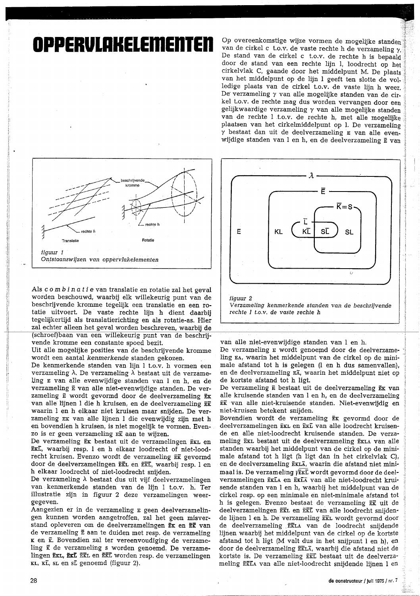## OPPERVLAKELEMEN

Op overeenkomstige wijze vormen de mogelijke standen van de cirkel c t.o.v. de vaste rechte h de verzameling  $\gamma$ . De stand van de cirkel c t.o.v. de rechte h is bepaald door de stand van een rechte lijn l, loodrecht op het cirkelvlak C, gaande door het middelpunt M. De plaats van het middelpunt op de lijn l geeft ten slotte de volledige plaats van de cirkel t.o.v. de vaste lijn h weer. De verzameling  $\gamma$  van alle mogelijke standen van de cirkel t.o.v. de rechte mag dus worden vervangen door een gelijkwaardige verzameling  $\gamma$  van alle mogelijke standen van de rechte l t.o.v. de rechte h, met alle mogelijke plaatsen van het cirkelmiddelpunt op l. De verzameling y bestaat dan uit de deelverzameling E van alle evenwijdige standen van l en h, en de deelverzameling E van



Als combinatie van translatie en rotatie zal het geval worden beschouwd, waarbij elk willekeurig punt van de beschrijvende kromme tegelijk een translatie en een rotatie uitvoert. De vaste rechte lijn h dient daarbij tegelijkertijd als translatierichting en als rotatie-as. Hier zal echter alleen het geval worden beschreven, waarbij de (schroef)baan van een willekeurig punt van de beschrijvende kromme een constante spoed bezit.

Uit alle mogelijke posities van de beschrijvende kromme wordt een aantal kenmerkende standen gekozen.

De kenmerkende standen van lijn l t.o.v. h vormen een verzameling  $\lambda$ . De verzameling  $\lambda$  bestaat uit de verzameling E van alle evenwijdige standen van l en h, en de verzameling  $\bar{E}$  van alle niet-evenwijdige standen. De verzameling  $\bar{E}$  wordt gevormd door de deelverzameling  $\bar{E}$ x van alle lijnen l die h kruisen, en de deelverzameling EK waarin 1 en h elkaar niet kruisen maar snijden. De verzameling EK van alle lijnen l die evenwijdig zijn met h en bovendien h kruisen, is niet mogelijk te vormen. Evenzo is er geen verzameling  $E\bar{k}$  aan te wijzen.

De verzameling Ex bestaat uit de verzamelingen ExL en EKL, waarbij resp. 1 en h elkaar loodrecht of niet-loodrecht kruisen. Evenzo wordt de verzameling EK gevormd door de deelverzamelingen EXL en EXL, waarbij resp. l en h elkaar loodrecht of niet-loodrecht snijden.

De verzameling  $\lambda$  bestaat dus uit vijf deelverzamelingen van kenmerkende standen van de lijn l t.o.v. h. Ter illustratie zijn in figuur 2 deze verzamelingen weergegeven.

Aangezien er in de verzameling E geen deelverzamelingen kunnen worden aangetroffen, zal het geen misverstand opleveren om de deelverzamelingen Ek en Ek van de verzameling  $\bar{E}$  aan te duiden met resp. de verzameling K en  $\bar{k}$ . Bovendien zal ter vereenvoudiging de verzameling  $\vec{\kappa}$  de verzameling s worden genoemd. De verzamelingen EKL, EKL EKL en EKL worden resp. de verzamelingen KL, KL, SL en sL genoemd (figuur 2).



van alle niet-evenwijdige standen van l en h.

De verzameling E wordt genoemd door de deelverzameling EA, waarin het middelpunt van de cirkel op de minimale afstand tot h is gelegen (1 en h dus samenvallen), en de deelverzameling EX, waarin het middelpunt niet op de kortste afstand tot h ligt.

De verzameling  $\bar{E}$  bestaat uit de deelverzameling  $\bar{E}$ k van alle kruisende standen van l en h, en de deelverzameling EK van alle niet-kruisende standen. Niet-evenwijdig en niet-kruisen betekent snijden.

Bovendien wordt de verzameling Ex gevormd door de deelverzamelingen EKL en EKL van alle loodrecht kruisende en alle niet-loodrecht kruisende standen. De verzameling EKL bestaat uit de deelverzameling EKLA van alle standen waarbij het middelpunt van de cirkel op de minimale afstand tot h ligt (h ligt dan in het cirkelvlak C), en de deelverzameling EKLA, waarin die afstand niet minimaal is. De verzameling  $\sqrt{\text{Ext}}$  wordt gevormd door de deelverzamelingen EKLA en EKLA van alle niet-loodrecht kruisende standen van l en h, waarbij het middelpunt van de cirkel resp. op een minimale en niet-minimale afstand tot h is gelegen. Evenzo bestaat de verzameling EK uit de deelverzamelingen EKL en EKL van alle loodrecht snijdende lijnen 1 en h. De verzameling EKL wordt gevormd door de deelverzameling EKLA van de loodrecht snijdende lijnen waarbij het middelpunt van de cirkel op de kortste afstand tot h ligt (M valt dus in het snijpunt l en h), en door de deelverzameling EKLA, waarbij die afstand niet de kortste is. De verzameling EKL bestaat uit de deelverzameling EKLA van alle niet-loodrecht snijdende lijnen l en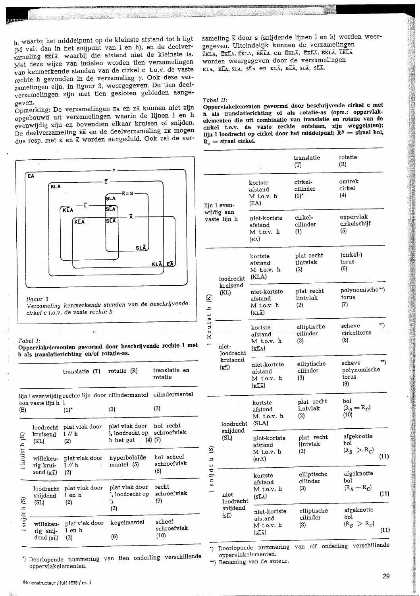$h_i$  waarbij het middelpunt op de kleinste afstand tot h ligt (M valt dan in het snijpunt van l en h), en de deelverzameling EKLA, waarbij die afstand niet de kleinste is. Met deze wijze van indelen worden tien verzamelingen van kenmerkende standen van de cirkel c t.o.v. de vaste rechte h gevonden in de verzameling  $\gamma$ . Ook deze verzamelingen zijn, in figuur 3, weergegeven. De tien deelverzamelingen zijn met tien gesloten gebieden aangegeven.

Opmerking: De verzamelingen EA en EA kunnen niet zijn opgebouwd uit verzamelingen waarin de lijnen 1 en h evenwijdig zijn en bovendien elkaar kruisen of snijden. De deelverzameling EK en de deelverzameling EK mogen dus resp. met  $\kappa$  en  $\bar{\kappa}$  worden aangeduid. Ook zal de verzameling  $\bar{x}$  door s (snijdende lijnen l en h) worden weergegeven. Uiteindelijk kunnen de verzamelingen EKLA, EKLA, EKLA, EKLA, en EKLA, EKLA, EKLA, EKLA, LELA worden weergegeven door de verzamelingen KLA, KLA, SLA, SLA en KLA, KLA, SLA, SLA.

#### Tabel II:

Oppervlakelementen gevormd door beschrijvende cirkel c met h als translatierichting of als rotatie-as (opm.: oppervlakelementen die uit combinatie van translatie en rotatie van de cirkel t.o.v. de vaste rechte ontstaan, zijn weggelaten); lijn 1 loodrecht op cirkel door het middelpunt;  $R^B$  = straal bol,  $R_e$  = straal cirkel.

|                                                                                                                      |                                                                 |                                            |                                                                                          |                                  |                                          |                                                                                                   |                                                                        | translatie<br>(T)                | rotatie<br>(R)                         |      |
|----------------------------------------------------------------------------------------------------------------------|-----------------------------------------------------------------|--------------------------------------------|------------------------------------------------------------------------------------------|----------------------------------|------------------------------------------|---------------------------------------------------------------------------------------------------|------------------------------------------------------------------------|----------------------------------|----------------------------------------|------|
|                                                                                                                      | <b>EA</b><br><b>KLA</b><br>$\overline{\bf k}$ = S<br>SLA<br>SĪA |                                            |                                                                                          |                                  |                                          | lijn 1 even-                                                                                      | kortste<br>afstand<br>M t.o.v. h<br>(EA)                               | cirkel-<br>cilinder<br>$(1)^{*}$ | omtrek<br>cirkel<br>(4)                |      |
|                                                                                                                      | KLA<br>SĹĀ<br>KLĀ                                               |                                            |                                                                                          |                                  |                                          | wijdig aan<br>vaste lijn h                                                                        | niet-kortste<br>afstand<br>M t.o.v. h<br>$(E\overline{A})$             | cirkel-<br>cilinder<br>(1)       | oppervlak<br>cirkelschijf<br>(5)       |      |
|                                                                                                                      | <b>SLĀ</b><br>EÃ<br><b>KLA</b>                                  |                                            |                                                                                          |                                  |                                          | loodrecht                                                                                         | kortste<br>afstand<br>M t.o.v. h<br>(KLA)                              | plat recht<br>lintvlak<br>(2)    | (cirkel-)<br>torus<br>(6)              |      |
|                                                                                                                      | fiquur 3                                                        | cirkel c t.o.v. de vaste rechte h          | Verzameling kenmerkende standen van de beschrijvende                                     |                                  | $\rm \tilde{E}$<br>д,                    | kruisend<br>(KL)                                                                                  | niet-kortste<br>afstand<br>M t.o.v. h<br>$(KL\overline{A})$            | plat recht<br>lintvlak<br>(2)    | polynomische**)<br>torus<br>(7)        |      |
| Tabel I:<br>Oppervlakelementen gevormd door beschrijvende rechte 1 met<br>h als translatierichting en/of rotatie-as. |                                                                 |                                            |                                                                                          |                                  | $u$ is t<br>÷<br>$\overline{\mathbf{x}}$ | niet-<br>loodrecht                                                                                | kortste<br>afstand<br>M t.o.v. h<br>$(\overline{\texttt{KLA}})$        | elliptische<br>cilinder<br>(3)   | scheve<br>cirkeltorus<br>(8)           | **)  |
|                                                                                                                      | translatie (T)                                                  |                                            | rotatie (R)                                                                              | translatie en<br>rotatie         |                                          | kruisend<br>$(\overline{\text{KL}})$                                                              | niet-kortste<br>afstand<br>M t.o.v. h<br>$(\overline{\text{KLA}})$     | elliptische<br>cilinder<br>(3)   | scheve<br>polynomische<br>torus<br>(9) | **)  |
| (E)                                                                                                                  | aan vaste lijn h 1                                              | $(1)^*$<br>loodrecht plat vlak door        | lijn levenwijdig rechte lijn door cilindermantel cilindermantel<br>(3)<br>plat vlak door | (3)<br>hol recht                 | ଡ଼ି<br>ᄇ<br>ىب<br>nij<br>w               | loodrecht (SLA)<br>snijdend<br>(SL)                                                               | kortste<br>afstand<br>M. t.o.v. h                                      | plat recht<br>lintvlak<br>(2)    | bol<br>$(R_B = R_C)$<br>(10)           |      |
| E<br>kruist h                                                                                                        | kruisend<br>(KL)                                                | $1$ // $h$<br>(2)                          | l, loodrecht op schroefvlak<br>h het gat                                                 | $(4)$ $(7)$                      |                                          |                                                                                                   | niet-kortste<br>afstand<br>M t.o.v. h                                  | plat recht<br>lintvlak<br>(2)    | afgeknotte<br>bol<br>$(R_B > R_C)$     |      |
|                                                                                                                      | willekeu-<br>rig krui-<br>send $(\overline{\text{kL}})$         | plat vlak door<br>$1\,\mathrm{W}$ h<br>(2) | hyperboloïde<br>mantel (5)                                                               | hol scheef<br>schroefvlak<br>(8) |                                          |                                                                                                   | $(sL\overline{A})$<br>kortste                                          | elliptische                      | afgeknotte                             | (11) |
| $\mathfrak{S}$<br>snijdt h                                                                                           | sniidend<br>(SL)                                                | loodrecht plat vlak door<br>l en h<br>(2)  | plat vlak door<br>1, loodrecht op<br>h<br>(2)                                            | recht<br>schroefvlak<br>(9)      |                                          | niet<br>loodrecht<br>snijdend<br>(sL)<br>*) Doorlopende nummering van elf onderling verschillende | afstand<br>M t.o.v. h<br>(s <sub>L</sub> A)                            | cilinder<br>(3)                  | bol<br>$(R_B = R_C)$                   | (11) |
|                                                                                                                      | willekeu-<br>rig snij-                                          | plat vlak door<br>l en h                   | kegelmantel                                                                              | scheef<br>schroefvlak<br>(10)    |                                          |                                                                                                   | niet-kortste<br>afstand<br>M t.o.v. h<br>$(s\overline{L}\overline{A})$ | elliptische<br>$cilinder$<br>(3) | afgeknotte<br>bol<br>$(R_B > R_C)$     | (11) |

oppervlakelementen.

\*\*) Benaming van de auteur.

\*) Doorlopende nummering van tien onderling verschillende oppervlakelementen.